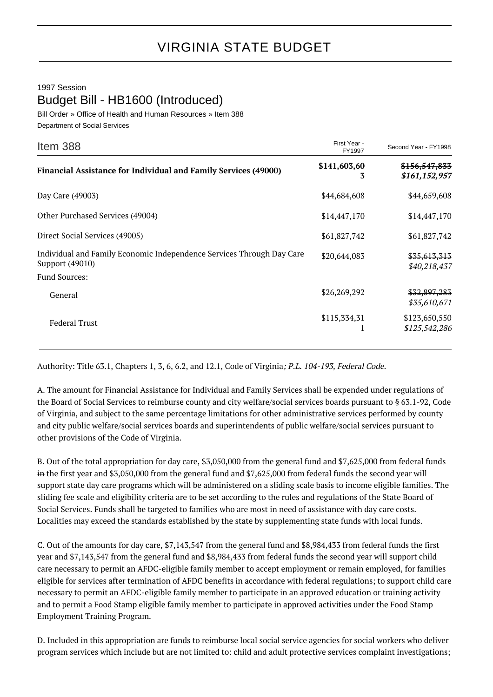## 1997 Session Budget Bill - HB1600 (Introduced)

Bill Order » Office of Health and Human Resources » Item 388 Department of Social Services

| Item 388                                                                                 | First Year -<br>FY1997 | Second Year - FY1998                      |
|------------------------------------------------------------------------------------------|------------------------|-------------------------------------------|
| <b>Financial Assistance for Individual and Family Services (49000)</b>                   | \$141,603,60<br>3      | <del>\$156,547,833</del><br>\$161,152,957 |
| Day Care (49003)                                                                         | \$44,684,608           | \$44,659,608                              |
| Other Purchased Services (49004)                                                         | \$14,447,170           | \$14,447,170                              |
| Direct Social Services (49005)                                                           | \$61,827,742           | \$61,827,742                              |
| Individual and Family Economic Independence Services Through Day Care<br>Support (49010) | \$20,644,083           | \$35,613,313<br>\$40,218,437              |
| <b>Fund Sources:</b><br>General                                                          | \$26,269,292           | \$32,897,283                              |
|                                                                                          |                        | \$35,610,671                              |
| <b>Federal Trust</b>                                                                     | \$115,334,31           | \$123,650,550<br>\$125,542,286            |

Authority: Title 63.1, Chapters 1, 3, 6, 6.2, and 12.1, Code of Virginia; P.L. 104-193, Federal Code.

A. The amount for Financial Assistance for Individual and Family Services shall be expended under regulations of the Board of Social Services to reimburse county and city welfare/social services boards pursuant to § 63.1-92, Code of Virginia, and subject to the same percentage limitations for other administrative services performed by county and city public welfare/social services boards and superintendents of public welfare/social services pursuant to other provisions of the Code of Virginia.

B. Out of the total appropriation for day care, \$3,050,000 from the general fund and \$7,625,000 from federal funds in the first year and \$3,050,000 from the general fund and \$7,625,000 from federal funds the second year will support state day care programs which will be administered on a sliding scale basis to income eligible families. The sliding fee scale and eligibility criteria are to be set according to the rules and regulations of the State Board of Social Services. Funds shall be targeted to families who are most in need of assistance with day care costs. Localities may exceed the standards established by the state by supplementing state funds with local funds.

C. Out of the amounts for day care, \$7,143,547 from the general fund and \$8,984,433 from federal funds the first year and \$7,143,547 from the general fund and \$8,984,433 from federal funds the second year will support child care necessary to permit an AFDC-eligible family member to accept employment or remain employed, for families eligible for services after termination of AFDC benefits in accordance with federal regulations; to support child care necessary to permit an AFDC-eligible family member to participate in an approved education or training activity and to permit a Food Stamp eligible family member to participate in approved activities under the Food Stamp Employment Training Program.

D. Included in this appropriation are funds to reimburse local social service agencies for social workers who deliver program services which include but are not limited to: child and adult protective services complaint investigations;